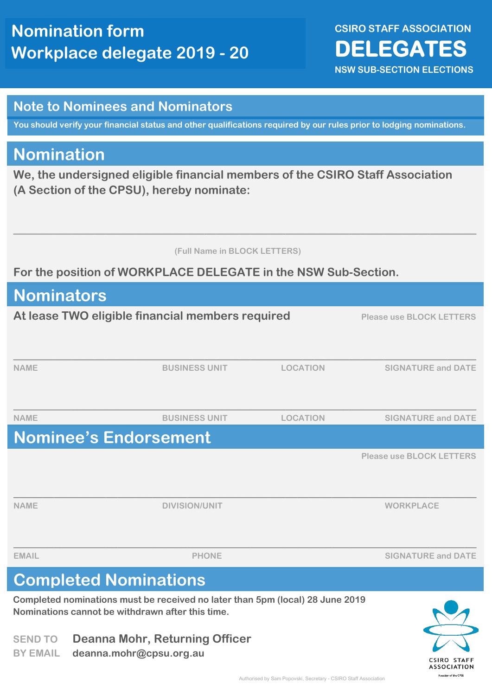**CSIRO STAFF ASSOCIATION DELEGATES NSW SUB-SECTION ELECTIONS** 

#### **Note to Nominees and Nominators**

**You should verify your financial status and other qualifications required by our rules prior to lodging nominations.**

### **Nomination**

**We, the undersigned eligible financial members of the CSIRO Staff Association (A Section of the CPSU), hereby nominate:**

 **(Full Name in BLOCK LETTERS)**

**\_\_\_\_\_\_\_\_\_\_\_\_\_\_\_\_\_\_\_\_\_\_\_\_\_\_\_\_\_\_\_\_\_\_\_\_\_\_\_\_\_\_\_\_\_\_\_\_\_\_\_\_\_\_\_\_\_\_\_\_\_\_\_\_\_\_\_\_\_\_\_\_\_\_\_\_\_\_\_\_**

#### **For the position of WORKPLACE DELEGATE in the NSW Sub-Section.**

| <b>Nominators</b>                                |                                                                                                                                   |                 |                                 |
|--------------------------------------------------|-----------------------------------------------------------------------------------------------------------------------------------|-----------------|---------------------------------|
| At lease TWO eligible financial members required |                                                                                                                                   |                 | <b>Please use BLOCK LETTERS</b> |
|                                                  |                                                                                                                                   |                 |                                 |
| <b>NAME</b>                                      | <b>BUSINESS UNIT</b>                                                                                                              | <b>LOCATION</b> | <b>SIGNATURE and DATE</b>       |
|                                                  |                                                                                                                                   |                 |                                 |
| <b>NAME</b>                                      | <b>BUSINESS UNIT</b>                                                                                                              | <b>LOCATION</b> | <b>SIGNATURE and DATE</b>       |
|                                                  | <b>Nominee's Endorsement</b>                                                                                                      |                 |                                 |
|                                                  |                                                                                                                                   |                 | <b>Please use BLOCK LETTERS</b> |
|                                                  |                                                                                                                                   |                 |                                 |
| <b>NAME</b>                                      | <b>DIVISION/UNIT</b>                                                                                                              |                 | <b>WORKPLACE</b>                |
|                                                  |                                                                                                                                   |                 |                                 |
| <b>EMAIL</b>                                     | <b>PHONE</b>                                                                                                                      |                 | <b>SIGNATURE and DATE</b>       |
|                                                  | <b>Completed Nominations</b>                                                                                                      |                 |                                 |
|                                                  | Completed nominations must be received no later than 5pm (local) 28 June 2019<br>Nominations cannot be withdrawn after this time. |                 |                                 |
| <b>SEND TO</b>                                   | <b>Deanna Mohr, Returning Officer</b>                                                                                             |                 |                                 |

**BY EMAIL deanna.mohr@cpsu.org.au**

CSIRO STAFF **ASSOCIATION** ection of the CPSL